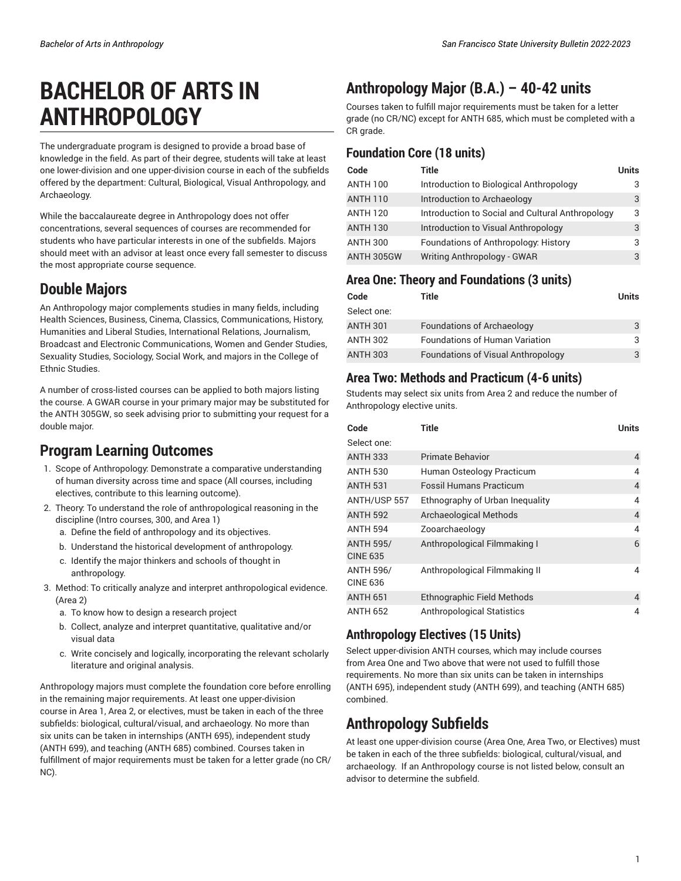# **BACHELOR OF ARTS IN ANTHROPOLOGY**

The undergraduate program is designed to provide a broad base of knowledge in the field. As part of their degree, students will take at least one lower-division and one upper-division course in each of the subfields offered by the department: Cultural, Biological, Visual Anthropology, and Archaeology.

While the baccalaureate degree in Anthropology does not offer concentrations, several sequences of courses are recommended for students who have particular interests in one of the subfields. Majors should meet with an advisor at least once every fall semester to discuss the most appropriate course sequence.

### **Double Majors**

An Anthropology major complements studies in many fields, including Health Sciences, Business, Cinema, Classics, Communications, History, Humanities and Liberal Studies, International Relations, Journalism, Broadcast and Electronic Communications, Women and Gender Studies, Sexuality Studies, Sociology, Social Work, and majors in the College of Ethnic Studies.

A number of cross-listed courses can be applied to both majors listing the course. A GWAR course in your primary major may be substituted for the ANTH 305GW, so seek advising prior to submitting your request for a double major.

### **Program Learning Outcomes**

- 1. Scope of Anthropology: Demonstrate a comparative understanding of human diversity across time and space (All courses, including electives, contribute to this learning outcome).
- 2. Theory: To understand the role of anthropological reasoning in the discipline (Intro courses, 300, and Area 1)
	- a. Define the field of anthropology and its objectives.
	- b. Understand the historical development of anthropology.
	- c. Identify the major thinkers and schools of thought in anthropology.
- 3. Method: To critically analyze and interpret anthropological evidence. (Area 2)
	- a. To know how to design a research project
	- b. Collect, analyze and interpret quantitative, qualitative and/or visual data
	- c. Write concisely and logically, incorporating the relevant scholarly literature and original analysis.

Anthropology majors must complete the foundation core before enrolling in the remaining major requirements. At least one upper-division course in Area 1, Area 2, or electives, must be taken in each of the three subfields: biological, cultural/visual, and archaeology. No more than six units can be taken in internships (ANTH 695), independent study (ANTH 699), and teaching (ANTH 685) combined. Courses taken in fulfillment of major requirements must be taken for a letter grade (no CR/ NC).

# **Anthropology Major (B.A.) – 40-42 units**

Courses taken to fulfill major requirements must be taken for a letter grade (no CR/NC) except for ANTH 685, which must be completed with a CR grade.

### **Foundation Core (18 units)**

| Code            | <b>Title</b>                                     | <b>Units</b> |
|-----------------|--------------------------------------------------|--------------|
| <b>ANTH 100</b> | Introduction to Biological Anthropology          | 3            |
| <b>ANTH 110</b> | Introduction to Archaeology                      | 3            |
| <b>ANTH 120</b> | Introduction to Social and Cultural Anthropology | 3            |
| <b>ANTH 130</b> | Introduction to Visual Anthropology              | 3            |
| <b>ANTH 300</b> | Foundations of Anthropology: History             | 3            |
| ANTH 305GW      | Writing Anthropology - GWAR                      | 3            |

### **Area One: Theory and Foundations (3 units)**

| Code            | Title                                     | Units |
|-----------------|-------------------------------------------|-------|
| Select one:     |                                           |       |
| <b>ANTH 301</b> | <b>Foundations of Archaeology</b>         | 3     |
| <b>ANTH 302</b> | <b>Foundations of Human Variation</b>     | 3     |
| <b>ANTH 303</b> | <b>Foundations of Visual Anthropology</b> | 3     |

### **Area Two: Methods and Practicum (4-6 units)**

Students may select six units from Area 2 and reduce the number of Anthropology elective units.

| Code                                | Title                             | <b>Units</b>   |
|-------------------------------------|-----------------------------------|----------------|
| Select one:                         |                                   |                |
| <b>ANTH 333</b>                     | Primate Behavior                  | 4              |
| <b>ANTH 530</b>                     | Human Osteology Practicum         | $\overline{4}$ |
| <b>ANTH 531</b>                     | <b>Fossil Humans Practicum</b>    | $\overline{4}$ |
| ANTH/USP 557                        | Ethnography of Urban Inequality   | 4              |
| <b>ANTH 592</b>                     | <b>Archaeological Methods</b>     | $\overline{4}$ |
| <b>ANTH 594</b>                     | Zooarchaeology                    | $\overline{4}$ |
| <b>ANTH 595/</b><br><b>CINE 635</b> | Anthropological Filmmaking I      | 6              |
| <b>ANTH 596/</b><br><b>CINE 636</b> | Anthropological Filmmaking II     | $\overline{4}$ |
| <b>ANTH 651</b>                     | <b>Ethnographic Field Methods</b> | 4              |
| <b>ANTH 652</b>                     | <b>Anthropological Statistics</b> | 4              |

### **Anthropology Electives (15 Units)**

Select upper-division ANTH courses, which may include courses from Area One and Two above that were not used to fulfill those requirements. No more than six units can be taken in internships (ANTH 695), independent study (ANTH 699), and teaching (ANTH 685) combined.

### **Anthropology Subfields**

At least one upper-division course (Area One, Area Two, or Electives) must be taken in each of the three subfields: biological, cultural/visual, and archaeology. If an Anthropology course is not listed below, consult an advisor to determine the subfield.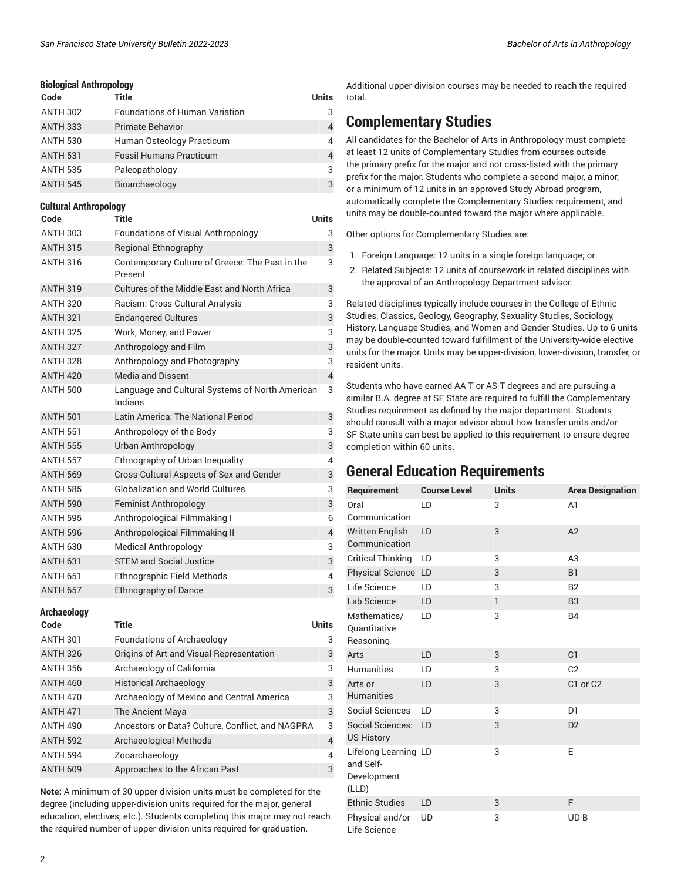#### **Biological Anthropology**

| Code            | Title                                 | Units |
|-----------------|---------------------------------------|-------|
| <b>ANTH 302</b> | <b>Foundations of Human Variation</b> | 3     |
| <b>ANTH 333</b> | <b>Primate Behavior</b>               | 4     |
| <b>ANTH 530</b> | Human Osteology Practicum             | 4     |
| <b>ANTH 531</b> | <b>Fossil Humans Practicum</b>        | 4     |
| <b>ANTH 535</b> | Paleopathology                        | 3     |
| <b>ANTH 545</b> | Bioarchaeology                        | 3     |

#### **Cultural Anthropology**

| Code            | <b>Title</b>                                               | <b>Units</b>             |
|-----------------|------------------------------------------------------------|--------------------------|
| <b>ANTH 303</b> | <b>Foundations of Visual Anthropology</b>                  | 3                        |
| <b>ANTH 315</b> | <b>Regional Ethnography</b>                                | 3                        |
| <b>ANTH 316</b> | Contemporary Culture of Greece: The Past in the<br>Present | 3                        |
| <b>ANTH 319</b> | Cultures of the Middle East and North Africa               | 3                        |
| <b>ANTH 320</b> | Racism: Cross-Cultural Analysis                            | 3                        |
| <b>ANTH 321</b> | <b>Endangered Cultures</b>                                 | 3                        |
| <b>ANTH 325</b> | Work, Money, and Power                                     | 3                        |
| <b>ANTH 327</b> | Anthropology and Film                                      | 3                        |
| <b>ANTH 328</b> | Anthropology and Photography                               | 3                        |
| <b>ANTH 420</b> | <b>Media and Dissent</b>                                   | $\overline{4}$           |
| <b>ANTH 500</b> | Language and Cultural Systems of North American<br>Indians | 3                        |
| <b>ANTH 501</b> | Latin America: The National Period                         | 3                        |
| <b>ANTH 551</b> | Anthropology of the Body                                   | 3                        |
| <b>ANTH 555</b> | Urban Anthropology                                         | 3                        |
| <b>ANTH 557</b> | Ethnography of Urban Inequality                            | 4                        |
| <b>ANTH 569</b> | Cross-Cultural Aspects of Sex and Gender                   | 3                        |
| <b>ANTH 585</b> | <b>Globalization and World Cultures</b>                    | 3                        |
| <b>ANTH 590</b> | <b>Feminist Anthropology</b>                               | 3                        |
| <b>ANTH 595</b> | Anthropological Filmmaking I                               | 6                        |
| <b>ANTH 596</b> | Anthropological Filmmaking II                              | $\overline{\mathcal{L}}$ |
| <b>ANTH 630</b> | <b>Medical Anthropology</b>                                | 3                        |
| <b>ANTH 631</b> | <b>STEM and Social Justice</b>                             | 3                        |
| <b>ANTH 651</b> | <b>Ethnographic Field Methods</b>                          | 4                        |
| <b>ANTH 657</b> | <b>Ethnography of Dance</b>                                | 3                        |

**Archaeology**

| Code            | Title                                            | Units          |
|-----------------|--------------------------------------------------|----------------|
| <b>ANTH 301</b> | <b>Foundations of Archaeology</b>                | 3              |
| <b>ANTH 326</b> | Origins of Art and Visual Representation         | 3              |
| <b>ANTH 356</b> | Archaeology of California                        | 3              |
| <b>ANTH 460</b> | <b>Historical Archaeology</b>                    | 3              |
| <b>ANTH 470</b> | Archaeology of Mexico and Central America        | 3              |
| <b>ANTH 471</b> | The Ancient Maya                                 | 3              |
| <b>ANTH 490</b> | Ancestors or Data? Culture, Conflict, and NAGPRA | 3              |
| <b>ANTH 592</b> | <b>Archaeological Methods</b>                    | $\overline{4}$ |
| <b>ANTH 594</b> | Zooarchaeology                                   | $\overline{4}$ |
| <b>ANTH 609</b> | Approaches to the African Past                   | 3              |
|                 |                                                  |                |

**Note:** A minimum of 30 upper-division units must be completed for the degree (including upper-division units required for the major, general education, electives, etc.). Students completing this major may not reach the required number of upper-division units required for graduation.

Additional upper-division courses may be needed to reach the required total.

### **Complementary Studies**

All candidates for the Bachelor of Arts in Anthropology must complete at least 12 units of Complementary Studies from courses outside the primary prefix for the major and not cross-listed with the primary prefix for the major. Students who complete a second major, a minor, or a minimum of 12 units in an approved Study Abroad program, automatically complete the Complementary Studies requirement, and units may be double-counted toward the major where applicable.

Other options for Complementary Studies are:

- 1. Foreign Language: 12 units in a single foreign language; or
- 2. Related Subjects: 12 units of coursework in related disciplines with the approval of an Anthropology Department advisor.

Related disciplines typically include courses in the College of Ethnic Studies, Classics, Geology, Geography, Sexuality Studies, Sociology, History, Language Studies, and Women and Gender Studies. Up to 6 units may be double-counted toward fulfillment of the University-wide elective units for the major. Units may be upper-division, lower-division, transfer, or resident units.

Students who have earned AA-T or AS-T degrees and are pursuing a similar B.A. degree at SF State are required to fulfill the Complementary Studies requirement as defined by the major department. Students should consult with a major advisor about how transfer units and/or SF State units can best be applied to this requirement to ensure degree completion within 60 units.

### **General Education Requirements**

| Requirement                                               | <b>Course Level</b> | <b>Units</b> | <b>Area Designation</b>          |
|-----------------------------------------------------------|---------------------|--------------|----------------------------------|
| Oral<br>Communication                                     | LD                  | 3            | A <sub>1</sub>                   |
| Written English<br>Communication                          | LD                  | 3            | A2                               |
| <b>Critical Thinking</b>                                  | LD                  | 3            | A3                               |
| Physical Science LD                                       |                     | 3            | <b>B1</b>                        |
| Life Science                                              | LD                  | 3            | <b>B2</b>                        |
| Lab Science                                               | LD                  | $\mathbf{1}$ | B <sub>3</sub>                   |
| Mathematics/<br>Quantitative<br>Reasoning                 | LD                  | 3            | <b>B4</b>                        |
| Arts                                                      | LD                  | 3            | C <sub>1</sub>                   |
| <b>Humanities</b>                                         | LD                  | 3            | C <sub>2</sub>                   |
| Arts or<br><b>Humanities</b>                              | LD                  | 3            | C <sub>1</sub> or C <sub>2</sub> |
| <b>Social Sciences</b>                                    | LD                  | 3            | D <sub>1</sub>                   |
| Social Sciences:<br><b>US History</b>                     | LD                  | 3            | D <sub>2</sub>                   |
| Lifelong Learning LD<br>and Self-<br>Development<br>(LLD) |                     | 3            | E                                |
| <b>Ethnic Studies</b>                                     | LD                  | 3            | F                                |
| Physical and/or<br>Life Science                           | <b>UD</b>           | 3            | $UD-B$                           |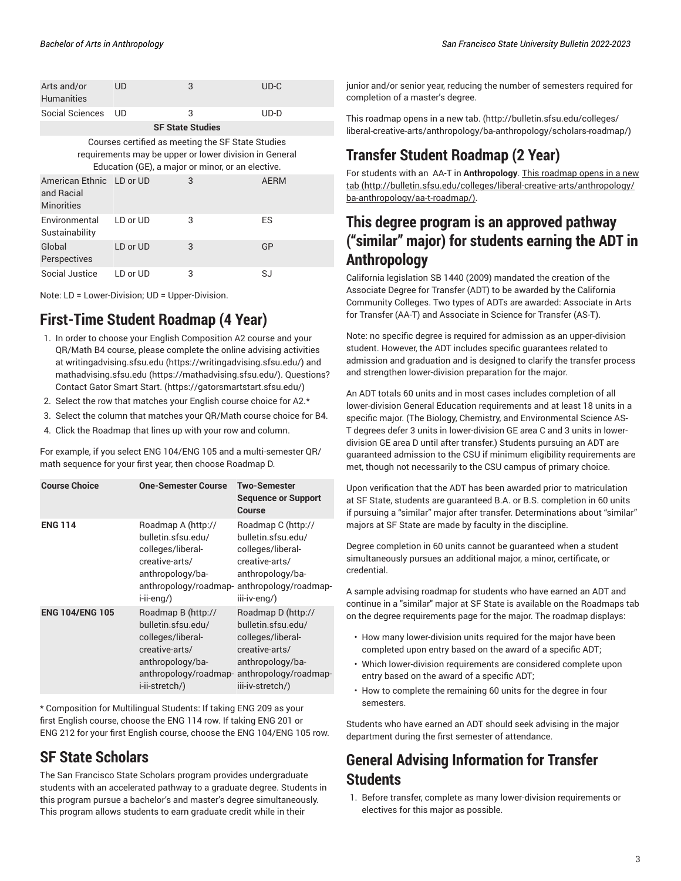|  |  |  |  |  | San Francisco State University Bulletin 2022-2023 |
|--|--|--|--|--|---------------------------------------------------|
|--|--|--|--|--|---------------------------------------------------|

| Arts and/or<br><b>Humanities</b>                                                                                                                                 | UD       | 3                       | $UD-C$      |  |
|------------------------------------------------------------------------------------------------------------------------------------------------------------------|----------|-------------------------|-------------|--|
| Social Sciences                                                                                                                                                  | UD       | 3                       | $UD-D$      |  |
|                                                                                                                                                                  |          | <b>SF State Studies</b> |             |  |
| Courses certified as meeting the SF State Studies<br>requirements may be upper or lower division in General<br>Education (GE), a major or minor, or an elective. |          |                         |             |  |
| American Ethnic LD or UD<br>and Racial<br><b>Minorities</b>                                                                                                      |          | 3                       | <b>AERM</b> |  |
| Environmental<br>Sustainability                                                                                                                                  | LD or UD | 3                       | <b>ES</b>   |  |
| Global<br>Perspectives                                                                                                                                           | LD or UD | 3                       | GP          |  |
| Social Justice                                                                                                                                                   | LD or UD | 3                       | SJ          |  |

Note: LD = Lower-Division; UD = Upper-Division.

# **First-Time Student Roadmap (4 Year)**

- 1. In order to choose your English Composition A2 course and your QR/Math B4 course, please complete the online advising activities at [writingadvising.sfsu.edu](https://writingadvising.sfsu.edu/) ([https://writingadvising.sfsu.edu/\)](https://writingadvising.sfsu.edu/) and [mathadvising.sfsu.edu](https://mathadvising.sfsu.edu/) ([https://mathadvising.sfsu.edu/\)](https://mathadvising.sfsu.edu/). Questions? Contact Gator [Smart](https://gatorsmartstart.sfsu.edu/) Start. ([https://gatorsmartstart.sfsu.edu/\)](https://gatorsmartstart.sfsu.edu/)
- 2. Select the row that matches your English course choice for A2.\*
- 3. Select the column that matches your QR/Math course choice for B4.
- 4. Click the Roadmap that lines up with your row and column.

For example, if you select ENG 104/ENG 105 and a multi-semester QR/ math sequence for your first year, then choose Roadmap D.

| <b>Course Choice</b>   | <b>One-Semester Course</b>                                                                                                                     | <b>Two-Semester</b><br><b>Sequence or Support</b><br>Course                                                                                      |
|------------------------|------------------------------------------------------------------------------------------------------------------------------------------------|--------------------------------------------------------------------------------------------------------------------------------------------------|
| <b>ENG 114</b>         | Roadmap A (http://<br>bulletin.sfsu.edu/<br>colleges/liberal-<br>creative-arts/<br>anthropology/ba-<br>anthropology/roadmap-<br>i-ii-eng/)     | Roadmap C (http://<br>bulletin.sfsu.edu/<br>colleges/liberal-<br>creative-arts/<br>anthropology/ba-<br>anthropology/roadmap-<br>iii-iv-eng/)     |
| <b>ENG 104/ENG 105</b> | Roadmap B (http://<br>bulletin.sfsu.edu/<br>colleges/liberal-<br>creative-arts/<br>anthropology/ba-<br>anthropology/roadmap-<br>i-ii-stretch/) | Roadmap D (http://<br>bulletin.sfsu.edu/<br>colleges/liberal-<br>creative-arts/<br>anthropology/ba-<br>anthropology/roadmap-<br>iii-iv-stretch/) |

\* Composition for Multilingual Students: If taking ENG 209 as your first English course, choose the ENG 114 row. If taking ENG 201 or ENG 212 for your first English course, choose the ENG 104/ENG 105 row.

### **SF State Scholars**

The San Francisco State Scholars program provides undergraduate students with an accelerated pathway to a graduate degree. Students in this program pursue a bachelor's and master's degree simultaneously. This program allows students to earn graduate credit while in their

junior and/or senior year, reducing the number of semesters required for completion of a master's degree.

This [roadmap](http://bulletin.sfsu.edu/colleges/liberal-creative-arts/anthropology/ba-anthropology/scholars-roadmap/) opens in a new tab. [\(http://bulletin.sfsu.edu/colleges/](http://bulletin.sfsu.edu/colleges/liberal-creative-arts/anthropology/ba-anthropology/scholars-roadmap/) [liberal-creative-arts/anthropology/ba-anthropology/scholars-roadmap/](http://bulletin.sfsu.edu/colleges/liberal-creative-arts/anthropology/ba-anthropology/scholars-roadmap/))

# **Transfer Student Roadmap (2 Year)**

For students with an AA-T in **Anthropology**. This [roadmap](http://bulletin.sfsu.edu/colleges/liberal-creative-arts/anthropology/ba-anthropology/aa-t-roadmap/) opens in a new [tab](http://bulletin.sfsu.edu/colleges/liberal-creative-arts/anthropology/ba-anthropology/aa-t-roadmap/) ([http://bulletin.sfsu.edu/colleges/liberal-creative-arts/anthropology/](http://bulletin.sfsu.edu/colleges/liberal-creative-arts/anthropology/ba-anthropology/aa-t-roadmap/) [ba-anthropology/aa-t-roadmap/\)](http://bulletin.sfsu.edu/colleges/liberal-creative-arts/anthropology/ba-anthropology/aa-t-roadmap/).

### **This degree program is an approved pathway ("similar" major) for students earning the ADT in Anthropology**

California legislation SB 1440 (2009) mandated the creation of the Associate Degree for Transfer (ADT) to be awarded by the California Community Colleges. Two types of ADTs are awarded: Associate in Arts for Transfer (AA-T) and Associate in Science for Transfer (AS-T).

Note: no specific degree is required for admission as an upper-division student. However, the ADT includes specific guarantees related to admission and graduation and is designed to clarify the transfer process and strengthen lower-division preparation for the major.

An ADT totals 60 units and in most cases includes completion of all lower-division General Education requirements and at least 18 units in a specific major. (The Biology, Chemistry, and Environmental Science AS-T degrees defer 3 units in lower-division GE area C and 3 units in lowerdivision GE area D until after transfer.) Students pursuing an ADT are guaranteed admission to the CSU if minimum eligibility requirements are met, though not necessarily to the CSU campus of primary choice.

Upon verification that the ADT has been awarded prior to matriculation at SF State, students are guaranteed B.A. or B.S. completion in 60 units if pursuing a "similar" major after transfer. Determinations about "similar" majors at SF State are made by faculty in the discipline.

Degree completion in 60 units cannot be guaranteed when a student simultaneously pursues an additional major, a minor, certificate, or credential.

A sample advising roadmap for students who have earned an ADT and continue in a "similar" major at SF State is available on the Roadmaps tab on the degree requirements page for the major. The roadmap displays:

- How many lower-division units required for the major have been completed upon entry based on the award of a specific ADT;
- Which lower-division requirements are considered complete upon entry based on the award of a specific ADT;
- How to complete the remaining 60 units for the degree in four semesters.

Students who have earned an ADT should seek advising in the major department during the first semester of attendance.

# **General Advising Information for Transfer Students**

1. Before transfer, complete as many lower-division requirements or electives for this major as possible.